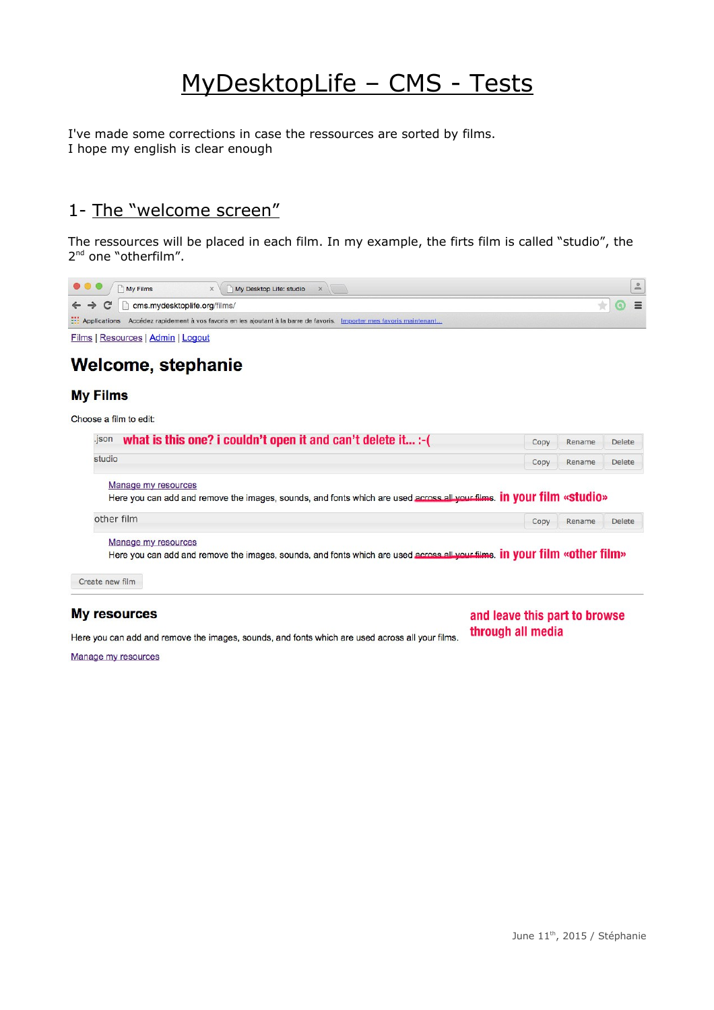# MyDesktopLife – CMS - Tests

I've made some corrections in case the ressources are sorted by films. I hope my english is clear enough

## 1- The "welcome screen"

The ressources will be placed in each film. In my example, the firts film is called "studio", the 2<sup>nd</sup> one "otherfilm".

| $\begin{array}{c} \bullet & \bullet & \bullet \\ \end{array}$ | My Films<br>$\times$ $\vee$ My Desktop Life: studio $\times$                                                           |  |
|---------------------------------------------------------------|------------------------------------------------------------------------------------------------------------------------|--|
|                                                               | $\leftarrow$ $\rightarrow$ $\mathbb{C}$ arms.mydesktoplife.org/films/                                                  |  |
|                                                               | : Applications Accédez rapidement à vos favoris en les ajoutant à la barre de favoris. Importer mes favoris maintenant |  |
|                                                               | Eilma   Department   Admin   Logard                                                                                    |  |

Films | Resources | Admin | Logout

### Welcome, stephanie

#### **My Films**

Choose a film to edit:

| what is this one? i couldn't open it and can't delete it :- (<br>.json                                                | Copy | Rename                                                                                                                           | <b>Delete</b> |
|-----------------------------------------------------------------------------------------------------------------------|------|----------------------------------------------------------------------------------------------------------------------------------|---------------|
| studio                                                                                                                | Copy | Rename                                                                                                                           | <b>Delete</b> |
| Manage my resources                                                                                                   |      |                                                                                                                                  |               |
| Here you can add and remove the images, sounds, and fonts which are used across all your films. In your film «studio» |      |                                                                                                                                  |               |
| other film                                                                                                            | Copy | Rename                                                                                                                           | <b>Delete</b> |
| Manage my resources                                                                                                   |      |                                                                                                                                  |               |
|                                                                                                                       |      | Here you can add and remove the images, sounds, and fonts which are used across all your films. <b>In YOUT film «Other film»</b> |               |

#### **My resources**

#### and leave this part to browse through all media

Here you can add and remove the images, sounds, and fonts which are used across all your films.

Manage my resources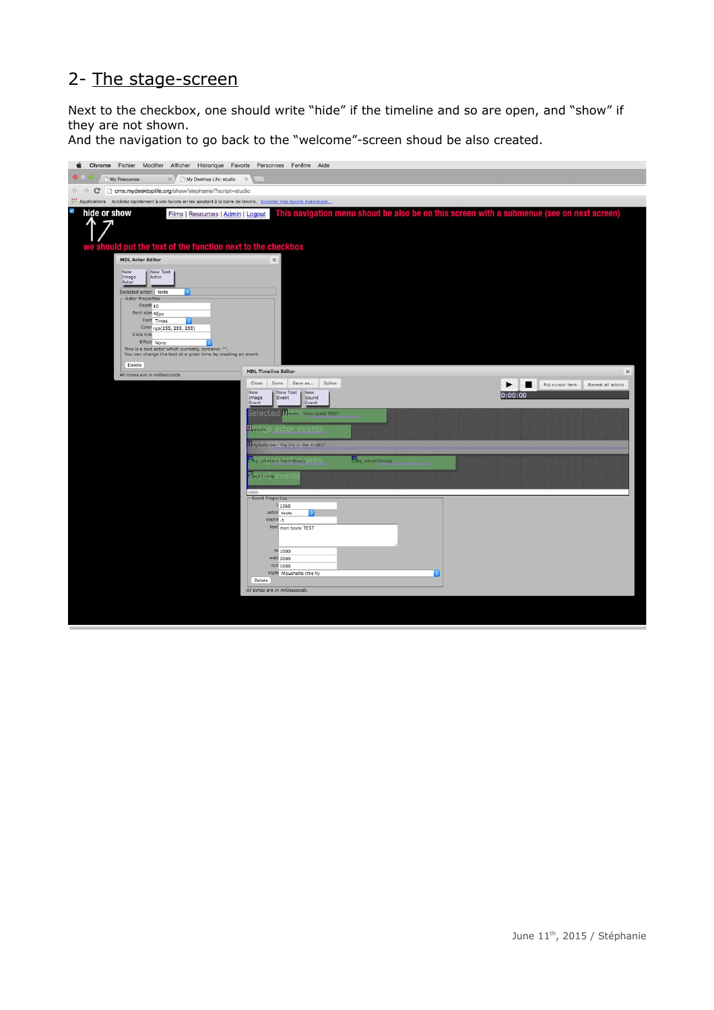### 2- The stage-screen

Next to the checkbox, one should write "hide" if the timeline and so are open, and "show" if they are not shown.

And the navigation to go back to the "welcome"-screen shoud be also created.

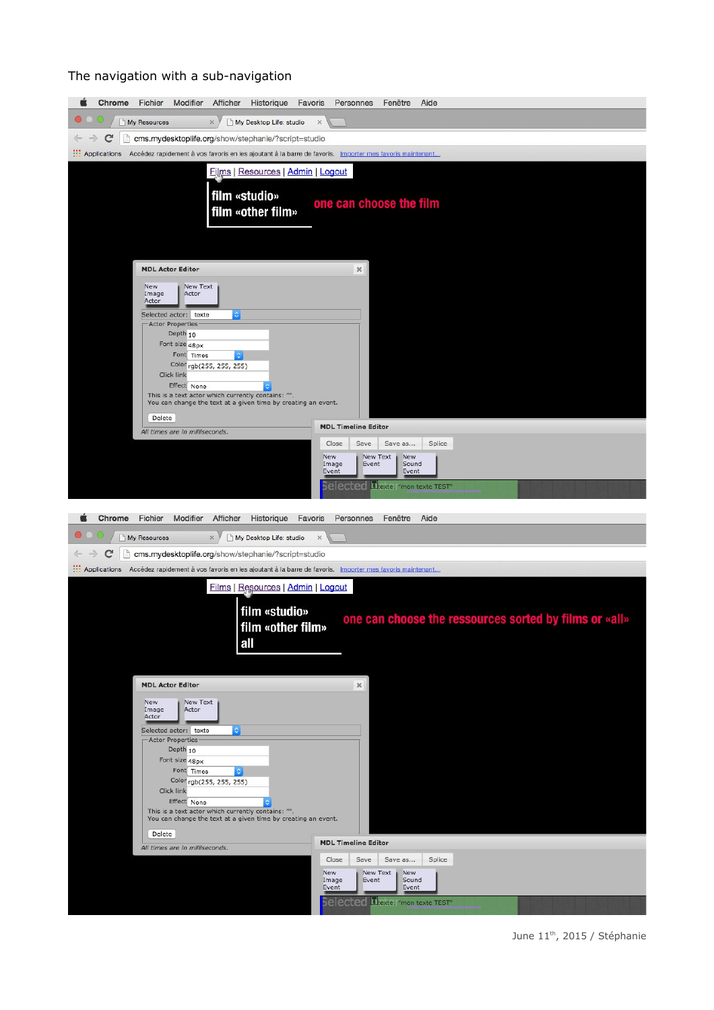#### The navigation with a sub-navigation

| My Resources<br>My Desktop Life: studio<br>$\times$<br>$\times$                                                          |
|--------------------------------------------------------------------------------------------------------------------------|
| C<br>cms.mydesktoplife.org/show/stephanie/?script=studio<br>n                                                            |
| :.: Applications Accédez rapidement à vos favoris en les ajoutant à la barre de favoris. Importer mes favoris maintenant |
| Films   Resources   Admin   Logout                                                                                       |
|                                                                                                                          |
| film «studio»<br>one can choose the film                                                                                 |
| film «other film»                                                                                                        |
|                                                                                                                          |
|                                                                                                                          |
| <b>MDL Actor Editor</b>                                                                                                  |
| $3\%$                                                                                                                    |
| New<br>New Text<br>Image<br>Actor<br>Actor                                                                               |
| Selected actor: texte<br>ା                                                                                               |
| Actor Properties<br>Depth <sub>10</sub>                                                                                  |
| Font size 48px                                                                                                           |
| Font Times<br>Color rgb(255, 255, 255)                                                                                   |
| Click link                                                                                                               |
| Effect None<br>This is a text actor which currently contains: "".                                                        |
| You can change the text at a given time by creating an event.                                                            |
| Delete<br><b>MDL Timeline Editor</b>                                                                                     |
| All times are in milliseconds.<br>Close<br>Save<br>Save as<br>Splice                                                     |
| New Text<br>New<br>New                                                                                                   |
| Event<br>Sound<br>Image<br>Event<br>Event                                                                                |
| Trexte: "mon texte TEST"<br>elected                                                                                      |
|                                                                                                                          |
|                                                                                                                          |
| Chrome<br>Fichier<br>Modifier<br>Afficher<br>Historique<br>Favoris<br>Personnes<br>Fenêtre<br>Aide                       |
| $\times$                                                                                                                 |
| My Desktop Life: studio<br>My Resources<br>×                                                                             |
| C<br>cms.mydesktoplife.org/show/stephanie/?script=studio<br>n                                                            |
| :.: Applications Accédez rapidement à vos favoris en les ajoutant à la barre de favoris. Importer mes favoris maintenant |
| Films   Resources   Admin   Logout                                                                                       |
| film «studio»                                                                                                            |
| one can choose the ressources sorted by films or «all»<br>film «other film»                                              |
| all                                                                                                                      |
|                                                                                                                          |
|                                                                                                                          |
| <b>MDL Actor Editor</b><br>$3\%$                                                                                         |
| New<br>New Text<br>Actor<br>Image                                                                                        |
| Actor                                                                                                                    |
| Selected actor: texte<br>း<br>Actor Properties                                                                           |
| Depth 10                                                                                                                 |
| Font size 48px<br>Font Times<br>C.                                                                                       |
| Color rgb(255, 255, 255)                                                                                                 |
| Click link<br>Effect None                                                                                                |
| This is a text actor which currently contains: "".<br>You can change the text at a given time by creating an event.      |
| Delete                                                                                                                   |
| <b>MDL Timeline Editor</b><br>All times are in milliseconds.                                                             |
| Close<br>Save<br>Splice<br>Save as                                                                                       |
| New<br>New Text<br>New<br>Image<br>Event<br>Sound                                                                        |
| Event<br>Event<br>Trexte: "mon texte TEST"<br>elected                                                                    |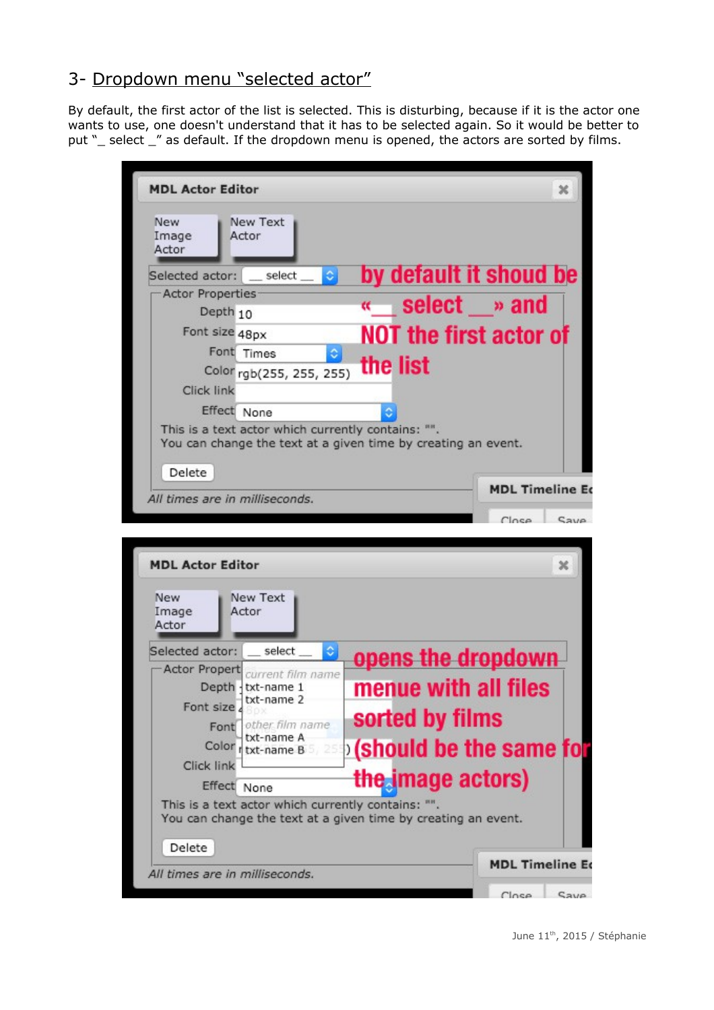# 3- Dropdown menu "selected actor"

Delete

All times are in milliseconds.

By default, the first actor of the list is selected. This is disturbing, because if it is the actor one wants to use, one doesn't understand that it has to be selected again. So it would be better to put "\_ select \_" as default. If the dropdown menu is opened, the actors are sorted by films.

| <b>MDL Actor Editor</b>                                                                                             | x                                                  |
|---------------------------------------------------------------------------------------------------------------------|----------------------------------------------------|
| New Text<br>New<br>Actor<br>Image<br>Actor                                                                          |                                                    |
| select<br>¢<br>Selected actor:                                                                                      | by default it shoud be                             |
| Actor Properties                                                                                                    | select » and<br>$\alpha$                           |
| Depth <sub>10</sub>                                                                                                 |                                                    |
| Font size 48px                                                                                                      | <b>NOT the first actor of</b>                      |
| Font Times<br>¢                                                                                                     |                                                    |
| Color rgb(255, 255, 255)                                                                                            | the list                                           |
| <b>Click link</b>                                                                                                   |                                                    |
| Effect None                                                                                                         |                                                    |
| This is a text actor which currently contains: "".<br>You can change the text at a given time by creating an event. |                                                    |
|                                                                                                                     |                                                    |
|                                                                                                                     |                                                    |
| Delete                                                                                                              |                                                    |
| All times are in milliseconds.                                                                                      |                                                    |
|                                                                                                                     | Close                                              |
|                                                                                                                     |                                                    |
| <b>MDL Actor Editor</b>                                                                                             | ×                                                  |
|                                                                                                                     | <b>MDL Timeline Eq</b><br>Cave                     |
| New Text<br><b>New</b>                                                                                              |                                                    |
| Actor<br>Image<br>Actor                                                                                             |                                                    |
|                                                                                                                     |                                                    |
| ٥<br>Selected actor:<br>select                                                                                      | opens the dropdown                                 |
| Actor Propert<br>current film name                                                                                  |                                                    |
| Depth {txt-name 1<br>txt-name 2                                                                                     | menue with all files                               |
| Font size<br>other film name                                                                                        | sorted by films                                    |
| Font<br>txt-name A                                                                                                  |                                                    |
| Color<br>txt-name B                                                                                                 |                                                    |
| <b>Click link</b><br>Effect<br>None                                                                                 | <b>Should be the same for</b><br>the image actors) |

**MDL Timeline Ed** Save Close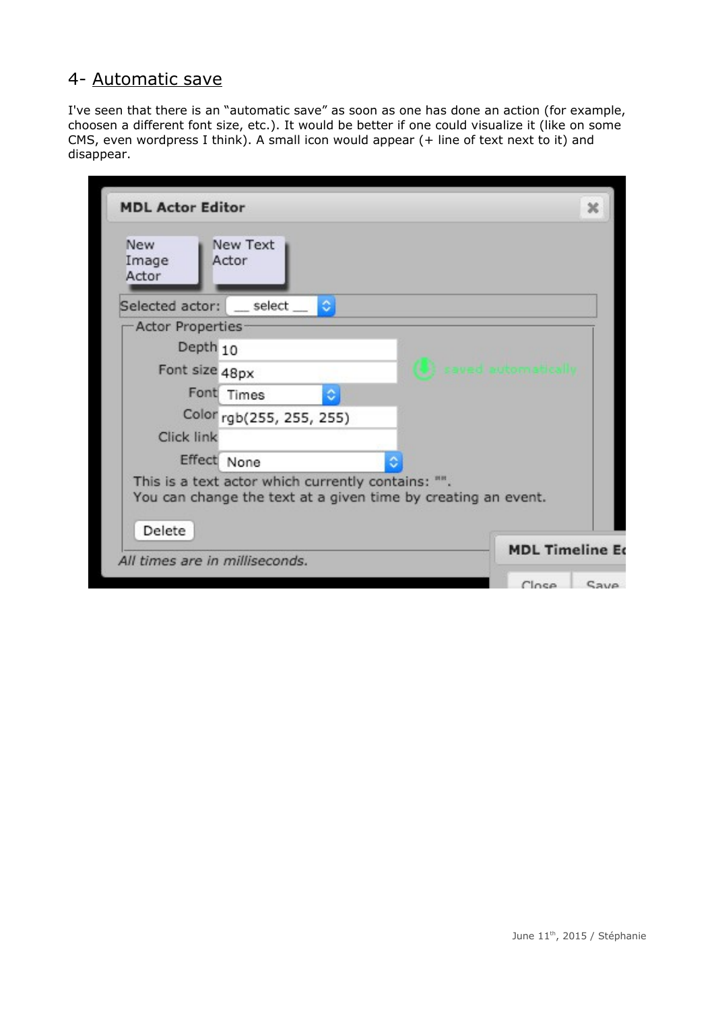### 4- Automatic save

I've seen that there is an "automatic save" as soon as one has done an action (for example, choosen a different font size, etc.). It would be better if one could visualize it (like on some CMS, even wordpress I think). A small icon would appear (+ line of text next to it) and disappear.

| New Text<br>New<br>Actor<br>Image<br>Actor                                                                                    |                    |  |
|-------------------------------------------------------------------------------------------------------------------------------|--------------------|--|
| Selected actor: _ select _<br>۰                                                                                               |                    |  |
| Actor Properties                                                                                                              |                    |  |
| Depth <sub>10</sub>                                                                                                           |                    |  |
| Font size 48px                                                                                                                | saved automaticall |  |
| Font Times<br>٥                                                                                                               |                    |  |
| Color rgb(255, 255, 255)                                                                                                      |                    |  |
| <b>Click link</b>                                                                                                             |                    |  |
| Effect None                                                                                                                   |                    |  |
| This is a text actor which currently contains: "".<br>You can change the text at a given time by creating an event.<br>Delete |                    |  |